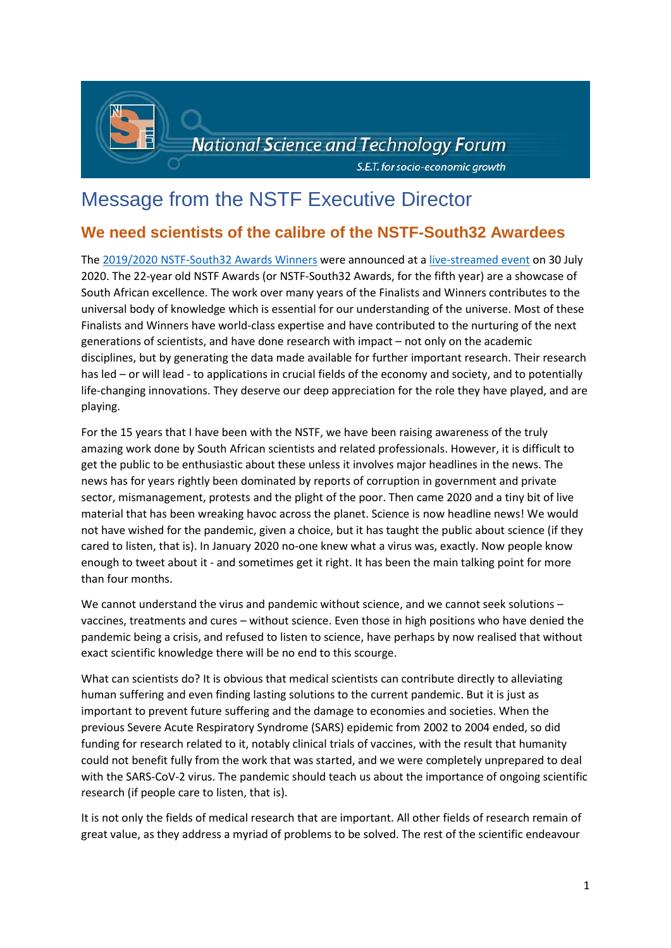

## Message from the NSTF Executive Director

## **We need scientists of the calibre of the NSTF-South32 Awardees**

The [2019/2020 NSTF-South32 Awards Winners](http://www.nstf.org.za/awards/winners/current/) were announced at a [live-streamed event](https://www.youtube.com/watch?v=eHX9t3gG710) on 30 July 2020. The 22-year old NSTF Awards (or NSTF-South32 Awards, for the fifth year) are a showcase of South African excellence. The work over many years of the Finalists and Winners contributes to the universal body of knowledge which is essential for our understanding of the universe. Most of these Finalists and Winners have world-class expertise and have contributed to the nurturing of the next generations of scientists, and have done research with impact – not only on the academic disciplines, but by generating the data made available for further important research. Their research has led – or will lead - to applications in crucial fields of the economy and society, and to potentially life-changing innovations. They deserve our deep appreciation for the role they have played, and are playing.

For the 15 years that I have been with the NSTF, we have been raising awareness of the truly amazing work done by South African scientists and related professionals. However, it is difficult to get the public to be enthusiastic about these unless it involves major headlines in the news. The news has for years rightly been dominated by reports of corruption in government and private sector, mismanagement, protests and the plight of the poor. Then came 2020 and a tiny bit of live material that has been wreaking havoc across the planet. Science is now headline news! We would not have wished for the pandemic, given a choice, but it has taught the public about science (if they cared to listen, that is). In January 2020 no-one knew what a virus was, exactly. Now people know enough to tweet about it - and sometimes get it right. It has been the main talking point for more than four months.

We cannot understand the virus and pandemic without science, and we cannot seek solutions – vaccines, treatments and cures – without science. Even those in high positions who have denied the pandemic being a crisis, and refused to listen to science, have perhaps by now realised that without exact scientific knowledge there will be no end to this scourge.

What can scientists do? It is obvious that medical scientists can contribute directly to alleviating human suffering and even finding lasting solutions to the current pandemic. But it is just as important to prevent future suffering and the damage to economies and societies. When the previous Severe Acute Respiratory Syndrome (SARS) epidemic from 2002 to 2004 ended, so did funding for research related to it, notably clinical trials of vaccines, with the result that humanity could not benefit fully from the work that was started, and we were completely unprepared to deal with the SARS-CoV-2 virus. The pandemic should teach us about the importance of ongoing scientific research (if people care to listen, that is).

It is not only the fields of medical research that are important. All other fields of research remain of great value, as they address a myriad of problems to be solved. The rest of the scientific endeavour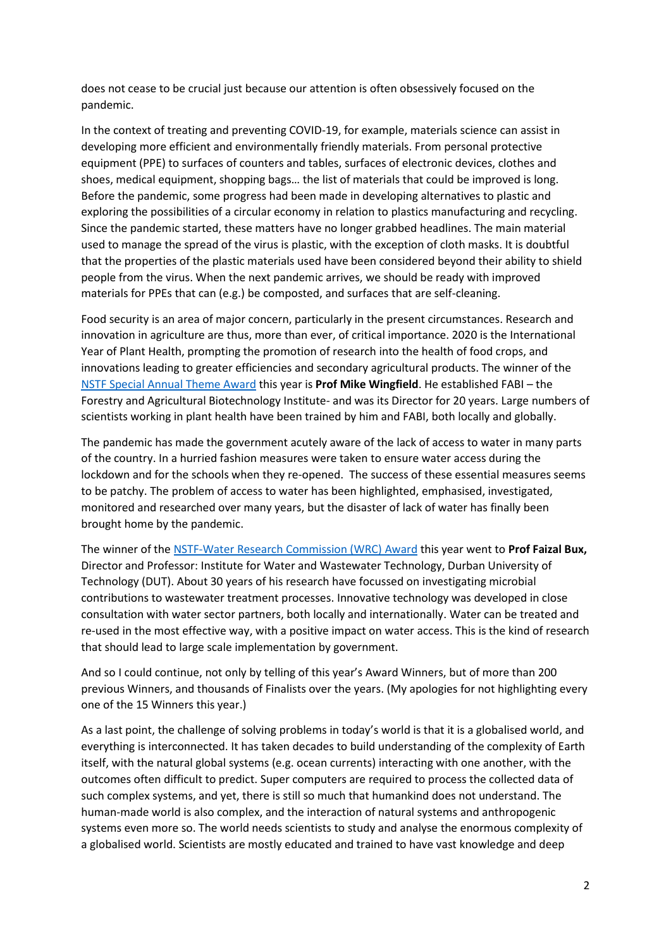does not cease to be crucial just because our attention is often obsessively focused on the pandemic.

In the context of treating and preventing COVID-19, for example, materials science can assist in developing more efficient and environmentally friendly materials. From personal protective equipment (PPE) to surfaces of counters and tables, surfaces of electronic devices, clothes and shoes, medical equipment, shopping bags… the list of materials that could be improved is long. Before the pandemic, some progress had been made in developing alternatives to plastic and exploring the possibilities of a circular economy in relation to plastics manufacturing and recycling. Since the pandemic started, these matters have no longer grabbed headlines. The main material used to manage the spread of the virus is plastic, with the exception of cloth masks. It is doubtful that the properties of the plastic materials used have been considered beyond their ability to shield people from the virus. When the next pandemic arrives, we should be ready with improved materials for PPEs that can (e.g.) be composted, and surfaces that are self-cleaning.

Food security is an area of major concern, particularly in the present circumstances. Research and innovation in agriculture are thus, more than ever, of critical importance. 2020 is the International Year of Plant Health, prompting the promotion of research into the health of food crops, and innovations leading to greater efficiencies and secondary agricultural products. The winner of the [NSTF Special Annual Theme Award](http://www.nstf.org.za/categories/theme-award/) this year is **Prof Mike Wingfield**. He established FABI – the Forestry and Agricultural Biotechnology Institute- and was its Director for 20 years. Large numbers of scientists working in plant health have been trained by him and FABI, both locally and globally.

The pandemic has made the government acutely aware of the lack of access to water in many parts of the country. In a hurried fashion measures were taken to ensure water access during the lockdown and for the schools when they re-opened. The success of these essential measures seems to be patchy. The problem of access to water has been highlighted, emphasised, investigated, monitored and researched over many years, but the disaster of lack of water has finally been brought home by the pandemic.

The winner of the [NSTF-Water Research Commission \(WRC\)](http://www.nstf.org.za/categories/water-research-commission/) Award this year went to **Prof Faizal Bux,** Director and Professor: Institute for Water and Wastewater Technology, Durban University of Technology (DUT). About 30 years of his research have focussed on investigating microbial contributions to wastewater treatment processes. Innovative technology was developed in close consultation with water sector partners, both locally and internationally. Water can be treated and re-used in the most effective way, with a positive impact on water access. This is the kind of research that should lead to large scale implementation by government.

And so I could continue, not only by telling of this year's Award Winners, but of more than 200 previous Winners, and thousands of Finalists over the years. (My apologies for not highlighting every one of the 15 Winners this year.)

As a last point, the challenge of solving problems in today's world is that it is a globalised world, and everything is interconnected. It has taken decades to build understanding of the complexity of Earth itself, with the natural global systems (e.g. ocean currents) interacting with one another, with the outcomes often difficult to predict. Super computers are required to process the collected data of such complex systems, and yet, there is still so much that humankind does not understand. The human-made world is also complex, and the interaction of natural systems and anthropogenic systems even more so. The world needs scientists to study and analyse the enormous complexity of a globalised world. Scientists are mostly educated and trained to have vast knowledge and deep